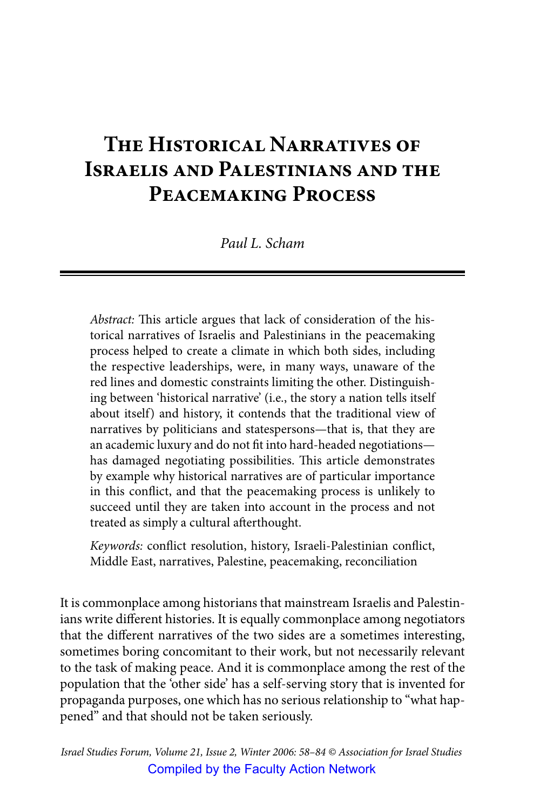# **The Historical Narratives of Israelis and Palestinians and the Peacemaking Process**

*Paul L. Scham*

*Abstract:* This article argues that lack of consideration of the historical narratives of Israelis and Palestinians in the peacemaking process helped to create a climate in which both sides, including the respective leaderships, were, in many ways, unaware of the red lines and domestic constraints limiting the other. Distinguishing between 'historical narrative' (i.e., the story a nation tells itself about itself) and history, it contends that the traditional view of narratives by politicians and statespersons—that is, that they are an academic luxury and do not fit into hard-headed negotiations has damaged negotiating possibilities. This article demonstrates by example why historical narratives are of particular importance in this conflict, and that the peacemaking process is unlikely to succeed until they are taken into account in the process and not treated as simply a cultural afterthought.

*Keywords:* conflict resolution, history, Israeli-Palestinian conflict, Middle East, narratives, Palestine, peacemaking, reconciliation

It is commonplace among historians that mainstream Israelis and Palestinians write different histories. It is equally commonplace among negotiators that the different narratives of the two sides are a sometimes interesting, sometimes boring concomitant to their work, but not necessarily relevant to the task of making peace. And it is commonplace among the rest of the population that the 'other side' has a self-serving story that is invented for propaganda purposes, one which has no serious relationship to "what happened" and that should not be taken seriously.

*Israel Studies Forum, Volume 21, Issue 2, Winter 2006: 58–84 © Association for Israel Studies* Compiled by the Faculty Action Network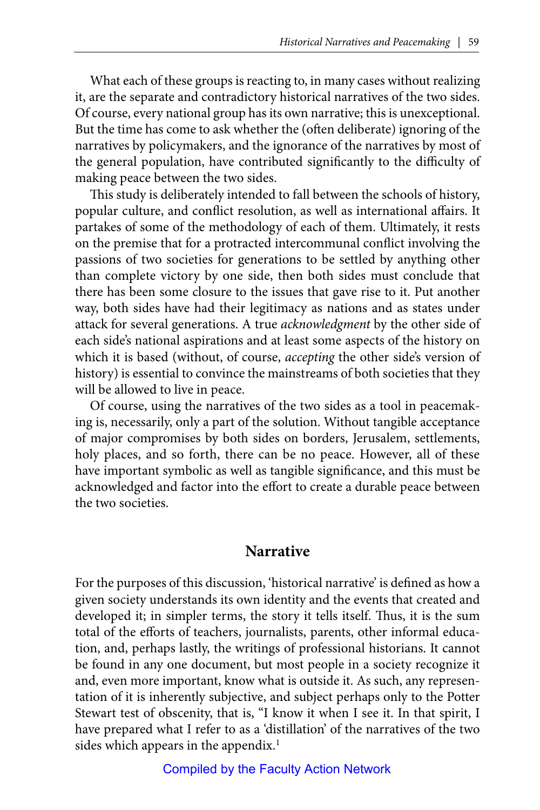What each of these groups is reacting to, in many cases without realizing it, are the separate and contradictory historical narratives of the two sides. Of course, every national group has its own narrative; this is unexceptional. But the time has come to ask whether the (often deliberate) ignoring of the narratives by policymakers, and the ignorance of the narratives by most of the general population, have contributed significantly to the difficulty of making peace between the two sides.

This study is deliberately intended to fall between the schools of history, popular culture, and conflict resolution, as well as international affairs. It partakes of some of the methodology of each of them. Ultimately, it rests on the premise that for a protracted intercommunal conflict involving the passions of two societies for generations to be settled by anything other than complete victory by one side, then both sides must conclude that there has been some closure to the issues that gave rise to it. Put another way, both sides have had their legitimacy as nations and as states under attack for several generations. A true *acknowledgment* by the other side of each side's national aspirations and at least some aspects of the history on which it is based (without, of course, *accepting* the other side's version of history) is essential to convince the mainstreams of both societies that they will be allowed to live in peace.

Of course, using the narratives of the two sides as a tool in peacemaking is, necessarily, only a part of the solution. Without tangible acceptance of major compromises by both sides on borders, Jerusalem, settlements, holy places, and so forth, there can be no peace. However, all of these have important symbolic as well as tangible significance, and this must be acknowledged and factor into the effort to create a durable peace between the two societies.

### **Narrative**

For the purposes of this discussion, 'historical narrative' is defined as how a given society understands its own identity and the events that created and developed it; in simpler terms, the story it tells itself. Thus, it is the sum total of the efforts of teachers, journalists, parents, other informal education, and, perhaps lastly, the writings of professional historians. It cannot be found in any one document, but most people in a society recognize it and, even more important, know what is outside it. As such, any representation of it is inherently subjective, and subject perhaps only to the Potter Stewart test of obscenity, that is, "I know it when I see it. In that spirit, I have prepared what I refer to as a 'distillation' of the narratives of the two sides which appears in the appendix.<sup>1</sup>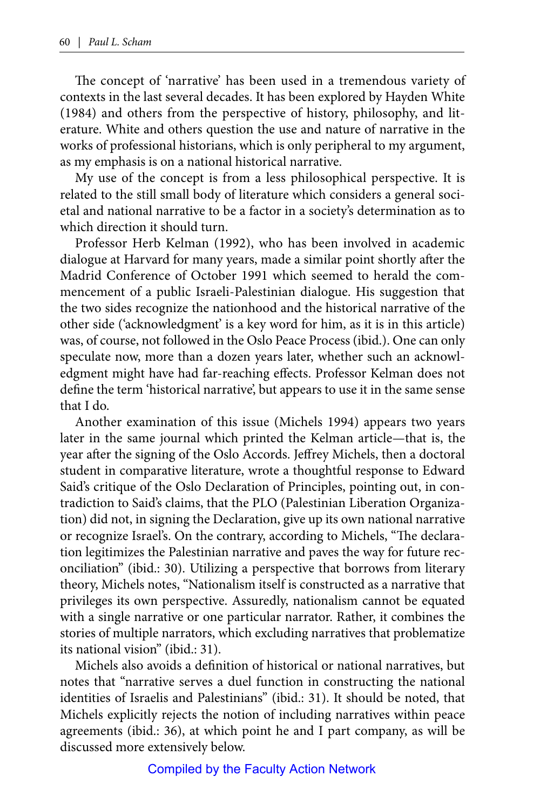The concept of 'narrative' has been used in a tremendous variety of contexts in the last several decades. It has been explored by Hayden White (1984) and others from the perspective of history, philosophy, and literature. White and others question the use and nature of narrative in the works of professional historians, which is only peripheral to my argument, as my emphasis is on a national historical narrative.

My use of the concept is from a less philosophical perspective. It is related to the still small body of literature which considers a general societal and national narrative to be a factor in a society's determination as to which direction it should turn.

Professor Herb Kelman (1992), who has been involved in academic dialogue at Harvard for many years, made a similar point shortly after the Madrid Conference of October 1991 which seemed to herald the commencement of a public Israeli-Palestinian dialogue. His suggestion that the two sides recognize the nationhood and the historical narrative of the other side ('acknowledgment' is a key word for him, as it is in this article) was, of course, not followed in the Oslo Peace Process (ibid.). One can only speculate now, more than a dozen years later, whether such an acknowledgment might have had far-reaching effects. Professor Kelman does not define the term 'historical narrative', but appears to use it in the same sense that I do.

Another examination of this issue (Michels 1994) appears two years later in the same journal which printed the Kelman article—that is, the year after the signing of the Oslo Accords. Jeffrey Michels, then a doctoral student in comparative literature, wrote a thoughtful response to Edward Said's critique of the Oslo Declaration of Principles, pointing out, in contradiction to Said's claims, that the PLO (Palestinian Liberation Organization) did not, in signing the Declaration, give up its own national narrative or recognize Israel's. On the contrary, according to Michels, "The declaration legitimizes the Palestinian narrative and paves the way for future reconciliation" (ibid.: 30). Utilizing a perspective that borrows from literary theory, Michels notes, "Nationalism itself is constructed as a narrative that privileges its own perspective. Assuredly, nationalism cannot be equated with a single narrative or one particular narrator. Rather, it combines the stories of multiple narrators, which excluding narratives that problematize its national vision" (ibid.: 31).

Michels also avoids a definition of historical or national narratives, but notes that "narrative serves a duel function in constructing the national identities of Israelis and Palestinians" (ibid.: 31). It should be noted, that Michels explicitly rejects the notion of including narratives within peace agreements (ibid.: 36), at which point he and I part company, as will be discussed more extensively below.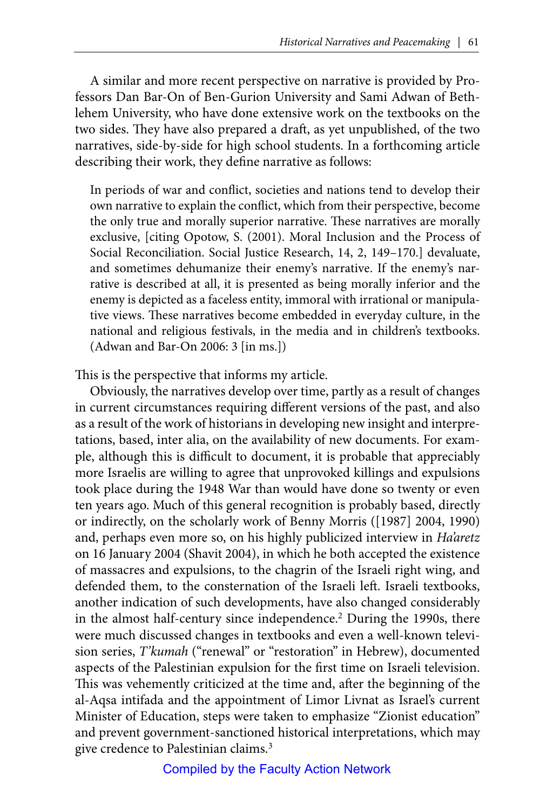A similar and more recent perspective on narrative is provided by Professors Dan Bar-On of Ben-Gurion University and Sami Adwan of Bethlehem University, who have done extensive work on the textbooks on the two sides. They have also prepared a draft, as yet unpublished, of the two narratives, side-by-side for high school students. In a forthcoming article describing their work, they define narrative as follows:

In periods of war and conflict, societies and nations tend to develop their own narrative to explain the conflict, which from their perspective, become the only true and morally superior narrative. These narratives are morally exclusive, [citing Opotow, S. (2001). Moral Inclusion and the Process of Social Reconciliation. Social Justice Research, 14, 2, 149–170.] devaluate, and sometimes dehumanize their enemy's narrative. If the enemy's narrative is described at all, it is presented as being morally inferior and the enemy is depicted as a faceless entity, immoral with irrational or manipulative views. These narratives become embedded in everyday culture, in the national and religious festivals, in the media and in children's textbooks. (Adwan and Bar-On 2006: 3 [in ms.])

This is the perspective that informs my article.

Obviously, the narratives develop over time, partly as a result of changes in current circumstances requiring different versions of the past, and also as a result of the work of historians in developing new insight and interpretations, based, inter alia, on the availability of new documents. For example, although this is difficult to document, it is probable that appreciably more Israelis are willing to agree that unprovoked killings and expulsions took place during the 1948 War than would have done so twenty or even ten years ago. Much of this general recognition is probably based, directly or indirectly, on the scholarly work of Benny Morris ([1987] 2004, 1990) and, perhaps even more so, on his highly publicized interview in *Ha'aretz* on 16 January 2004 (Shavit 2004), in which he both accepted the existence of massacres and expulsions, to the chagrin of the Israeli right wing, and defended them, to the consternation of the Israeli left. Israeli textbooks, another indication of such developments, have also changed considerably in the almost half-century since independence.<sup>2</sup> During the 1990s, there were much discussed changes in textbooks and even a well-known television series, *T'kumah* ("renewal" or "restoration" in Hebrew), documented aspects of the Palestinian expulsion for the first time on Israeli television. This was vehemently criticized at the time and, after the beginning of the al-Aqsa intifada and the appointment of Limor Livnat as Israel's current Minister of Education, steps were taken to emphasize "Zionist education" and prevent government-sanctioned historical interpretations, which may give credence to Palestinian claims.<sup>3</sup>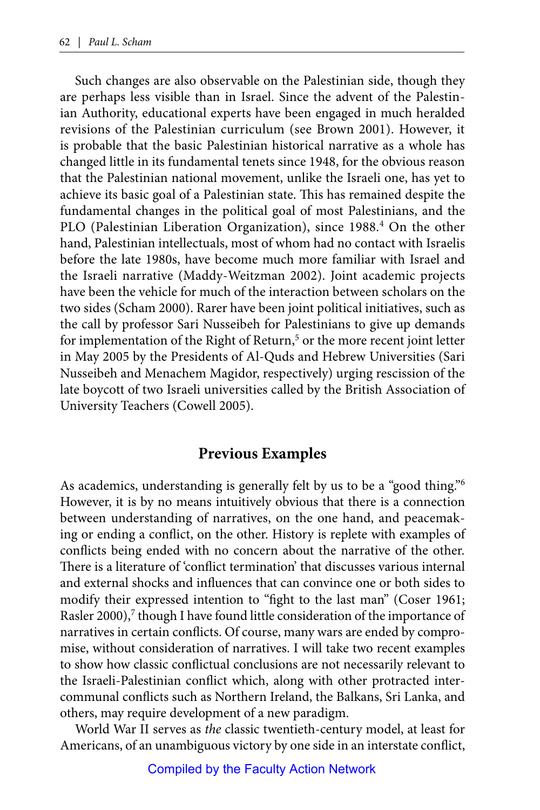Such changes are also observable on the Palestinian side, though they are perhaps less visible than in Israel. Since the advent of the Palestinian Authority, educational experts have been engaged in much heralded revisions of the Palestinian curriculum (see Brown 2001). However, it is probable that the basic Palestinian historical narrative as a whole has changed little in its fundamental tenets since 1948, for the obvious reason that the Palestinian national movement, unlike the Israeli one, has yet to achieve its basic goal of a Palestinian state. This has remained despite the fundamental changes in the political goal of most Palestinians, and the PLO (Palestinian Liberation Organization), since 1988.<sup>4</sup> On the other hand, Palestinian intellectuals, most of whom had no contact with Israelis before the late 1980s, have become much more familiar with Israel and the Israeli narrative (Maddy-Weitzman 2002). Joint academic projects have been the vehicle for much of the interaction between scholars on the two sides (Scham 2000). Rarer have been joint political initiatives, such as the call by professor Sari Nusseibeh for Palestinians to give up demands for implementation of the Right of Return,<sup>5</sup> or the more recent joint letter in May 2005 by the Presidents of Al-Quds and Hebrew Universities (Sari Nusseibeh and Menachem Magidor, respectively) urging rescission of the late boycott of two Israeli universities called by the British Association of University Teachers (Cowell 2005).

### **Previous Examples**

As academics, understanding is generally felt by us to be a "good thing."6 However, it is by no means intuitively obvious that there is a connection between understanding of narratives, on the one hand, and peacemaking or ending a conflict, on the other. History is replete with examples of conflicts being ended with no concern about the narrative of the other. There is a literature of 'conflict termination' that discusses various internal and external shocks and influences that can convince one or both sides to modify their expressed intention to "fight to the last man" (Coser 1961; Rasler 2000),<sup>7</sup> though I have found little consideration of the importance of narratives in certain conflicts. Of course, many wars are ended by compromise, without consideration of narratives. I will take two recent examples to show how classic conflictual conclusions are not necessarily relevant to the Israeli-Palestinian conflict which, along with other protracted intercommunal conflicts such as Northern Ireland, the Balkans, Sri Lanka, and others, may require development of a new paradigm.

World War II serves as *the classic twentieth-century model*, at least for Americans, of an unambiguous victory by one side in an interstate conflict,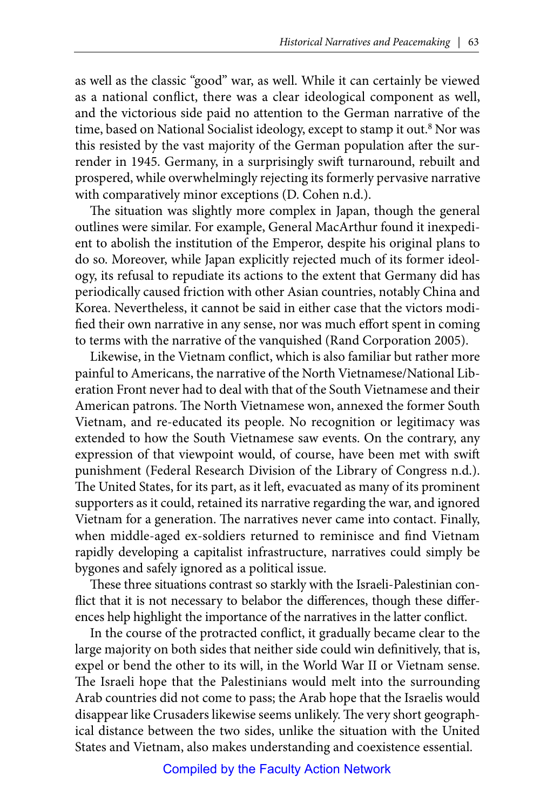as well as the classic "good" war, as well. While it can certainly be viewed as a national conflict, there was a clear ideological component as well, and the victorious side paid no attention to the German narrative of the time, based on National Socialist ideology, except to stamp it out.<sup>8</sup> Nor was this resisted by the vast majority of the German population after the surrender in 1945. Germany, in a surprisingly swift turnaround, rebuilt and prospered, while overwhelmingly rejecting its formerly pervasive narrative with comparatively minor exceptions (D. Cohen n.d.).

The situation was slightly more complex in Japan, though the general outlines were similar. For example, General MacArthur found it inexpedient to abolish the institution of the Emperor, despite his original plans to do so. Moreover, while Japan explicitly rejected much of its former ideology, its refusal to repudiate its actions to the extent that Germany did has periodically caused friction with other Asian countries, notably China and Korea. Nevertheless, it cannot be said in either case that the victors modified their own narrative in any sense, nor was much effort spent in coming to terms with the narrative of the vanquished (Rand Corporation 2005).

Likewise, in the Vietnam conflict, which is also familiar but rather more painful to Americans, the narrative of the North Vietnamese/National Liberation Front never had to deal with that of the South Vietnamese and their American patrons. The North Vietnamese won, annexed the former South Vietnam, and re-educated its people. No recognition or legitimacy was extended to how the South Vietnamese saw events. On the contrary, any expression of that viewpoint would, of course, have been met with swift punishment (Federal Research Division of the Library of Congress n.d.). The United States, for its part, as it left, evacuated as many of its prominent supporters as it could, retained its narrative regarding the war, and ignored Vietnam for a generation. The narratives never came into contact. Finally, when middle-aged ex-soldiers returned to reminisce and find Vietnam rapidly developing a capitalist infrastructure, narratives could simply be bygones and safely ignored as a political issue.

These three situations contrast so starkly with the Israeli-Palestinian conflict that it is not necessary to belabor the differences, though these differences help highlight the importance of the narratives in the latter conflict.

In the course of the protracted conflict, it gradually became clear to the large majority on both sides that neither side could win definitively, that is, expel or bend the other to its will, in the World War II or Vietnam sense. The Israeli hope that the Palestinians would melt into the surrounding Arab countries did not come to pass; the Arab hope that the Israelis would disappear like Crusaders likewise seems unlikely. The very short geographical distance between the two sides, unlike the situation with the United States and Vietnam, also makes understanding and coexistence essential.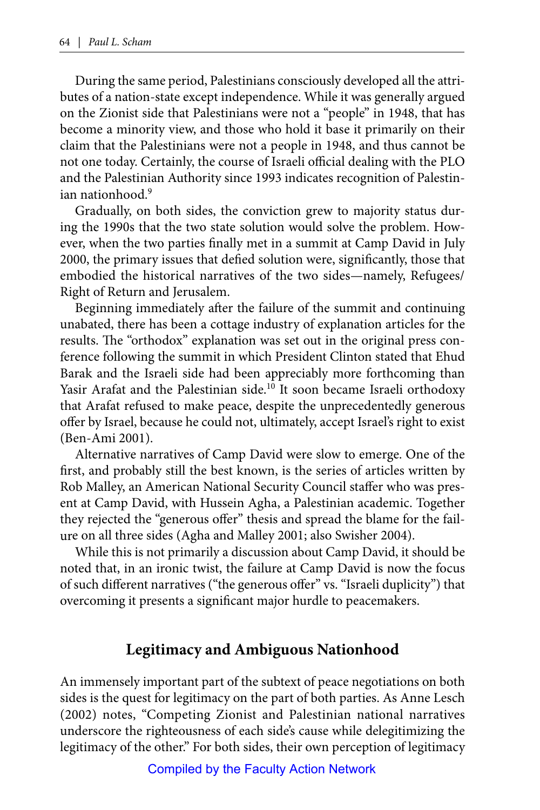During the same period, Palestinians consciously developed all the attributes of a nation-state except independence. While it was generally argued on the Zionist side that Palestinians were not a "people" in 1948, that has become a minority view, and those who hold it base it primarily on their claim that the Palestinians were not a people in 1948, and thus cannot be not one today. Certainly, the course of Israeli official dealing with the PLO and the Palestinian Authority since 1993 indicates recognition of Palestinian nationhood<sup>9</sup>

Gradually, on both sides, the conviction grew to majority status during the 1990s that the two state solution would solve the problem. However, when the two parties finally met in a summit at Camp David in July 2000, the primary issues that defied solution were, significantly, those that embodied the historical narratives of the two sides—namely, Refugees/ Right of Return and Jerusalem.

Beginning immediately after the failure of the summit and continuing unabated, there has been a cottage industry of explanation articles for the results. The "orthodox" explanation was set out in the original press conference following the summit in which President Clinton stated that Ehud Barak and the Israeli side had been appreciably more forthcoming than Yasir Arafat and the Palestinian side.<sup>10</sup> It soon became Israeli orthodoxy that Arafat refused to make peace, despite the unprecedentedly generous offer by Israel, because he could not, ultimately, accept Israel's right to exist (Ben-Ami 2001).

Alternative narratives of Camp David were slow to emerge. One of the first, and probably still the best known, is the series of articles written by Rob Malley, an American National Security Council staffer who was present at Camp David, with Hussein Agha, a Palestinian academic. Together they rejected the "generous offer" thesis and spread the blame for the failure on all three sides (Agha and Malley 2001; also Swisher 2004).

While this is not primarily a discussion about Camp David, it should be noted that, in an ironic twist, the failure at Camp David is now the focus of such different narratives ("the generous offer" vs. "Israeli duplicity") that overcoming it presents a significant major hurdle to peacemakers.

### **Legitimacy and Ambiguous Nationhood**

An immensely important part of the subtext of peace negotiations on both sides is the quest for legitimacy on the part of both parties. As Anne Lesch (2002) notes, "Competing Zionist and Palestinian national narratives underscore the righteousness of each side's cause while delegitimizing the legitimacy of the other." For both sides, their own perception of legitimacy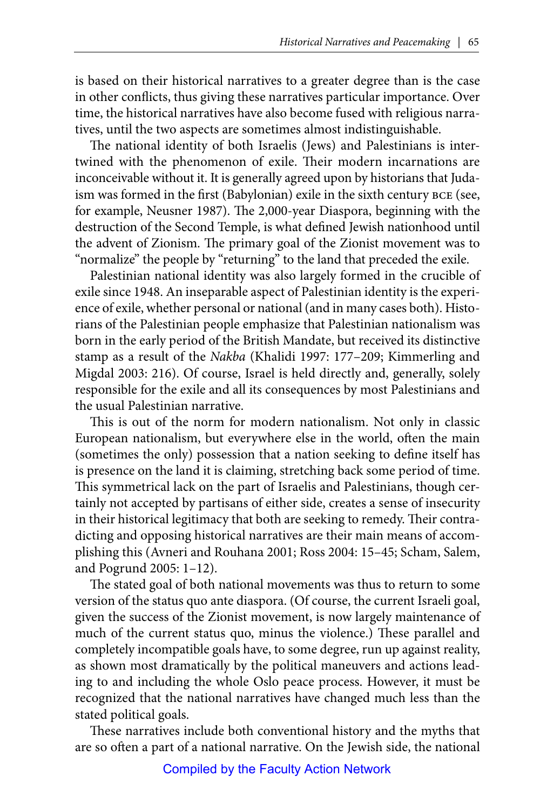is based on their historical narratives to a greater degree than is the case in other conflicts, thus giving these narratives particular importance. Over time, the historical narratives have also become fused with religious narratives, until the two aspects are sometimes almost indistinguishable.

The national identity of both Israelis (Jews) and Palestinians is intertwined with the phenomenon of exile. Their modern incarnations are inconceivable without it. It is generally agreed upon by historians that Judaism was formed in the first (Babylonian) exile in the sixth century bce (see, for example, Neusner 1987). The 2,000-year Diaspora, beginning with the destruction of the Second Temple, is what defined Jewish nationhood until the advent of Zionism. The primary goal of the Zionist movement was to "normalize" the people by "returning" to the land that preceded the exile.

Palestinian national identity was also largely formed in the crucible of exile since 1948. An inseparable aspect of Palestinian identity is the experience of exile, whether personal or national (and in many cases both). Historians of the Palestinian people emphasize that Palestinian nationalism was born in the early period of the British Mandate, but received its distinctive stamp as a result of the *Nakba* (Khalidi 1997: 177–209; Kimmerling and Migdal 2003: 216). Of course, Israel is held directly and, generally, solely responsible for the exile and all its consequences by most Palestinians and the usual Palestinian narrative.

This is out of the norm for modern nationalism. Not only in classic European nationalism, but everywhere else in the world, often the main (sometimes the only) possession that a nation seeking to define itself has is presence on the land it is claiming, stretching back some period of time. This symmetrical lack on the part of Israelis and Palestinians, though certainly not accepted by partisans of either side, creates a sense of insecurity in their historical legitimacy that both are seeking to remedy. Their contradicting and opposing historical narratives are their main means of accomplishing this (Avneri and Rouhana 2001; Ross 2004: 15–45; Scham, Salem, and Pogrund 2005: 1–12).

The stated goal of both national movements was thus to return to some version of the status quo ante diaspora. (Of course, the current Israeli goal, given the success of the Zionist movement, is now largely maintenance of much of the current status quo, minus the violence.) These parallel and completely incompatible goals have, to some degree, run up against reality, as shown most dramatically by the political maneuvers and actions leading to and including the whole Oslo peace process. However, it must be recognized that the national narratives have changed much less than the stated political goals.

These narratives include both conventional history and the myths that are so often a part of a national narrative. On the Jewish side, the national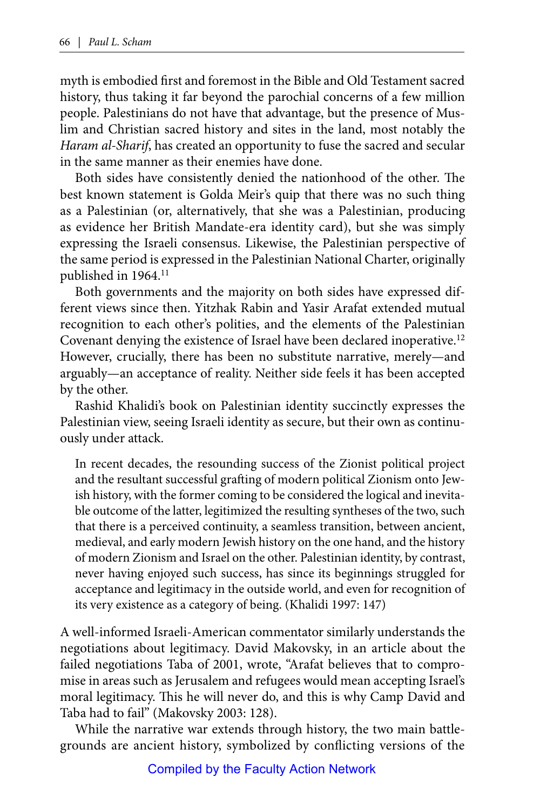myth is embodied first and foremost in the Bible and Old Testament sacred history, thus taking it far beyond the parochial concerns of a few million people. Palestinians do not have that advantage, but the presence of Muslim and Christian sacred history and sites in the land, most notably the *Haram al-Sharif*, has created an opportunity to fuse the sacred and secular in the same manner as their enemies have done.

Both sides have consistently denied the nationhood of the other. The best known statement is Golda Meir's quip that there was no such thing as a Palestinian (or, alternatively, that she was a Palestinian, producing as evidence her British Mandate-era identity card), but she was simply expressing the Israeli consensus. Likewise, the Palestinian perspective of the same period is expressed in the Palestinian National Charter, originally published in 1964.<sup>11</sup>

Both governments and the majority on both sides have expressed different views since then. Yitzhak Rabin and Yasir Arafat extended mutual recognition to each other's polities, and the elements of the Palestinian Covenant denying the existence of Israel have been declared inoperative.<sup>12</sup> However, crucially, there has been no substitute narrative, merely—and arguably—an acceptance of reality. Neither side feels it has been accepted by the other.

Rashid Khalidi's book on Palestinian identity succinctly expresses the Palestinian view, seeing Israeli identity as secure, but their own as continuously under attack.

In recent decades, the resounding success of the Zionist political project and the resultant successful grafting of modern political Zionism onto Jewish history, with the former coming to be considered the logical and inevitable outcome of the latter, legitimized the resulting syntheses of the two, such that there is a perceived continuity, a seamless transition, between ancient, medieval, and early modern Jewish history on the one hand, and the history of modern Zionism and Israel on the other. Palestinian identity, by contrast, never having enjoyed such success, has since its beginnings struggled for acceptance and legitimacy in the outside world, and even for recognition of its very existence as a category of being. (Khalidi 1997: 147)

A well-informed Israeli-American commentator similarly understands the negotiations about legitimacy. David Makovsky, in an article about the failed negotiations Taba of 2001, wrote, "Arafat believes that to compromise in areas such as Jerusalem and refugees would mean accepting Israel's moral legitimacy. This he will never do, and this is why Camp David and Taba had to fail" (Makovsky 2003: 128).

While the narrative war extends through history, the two main battlegrounds are ancient history, symbolized by conflicting versions of the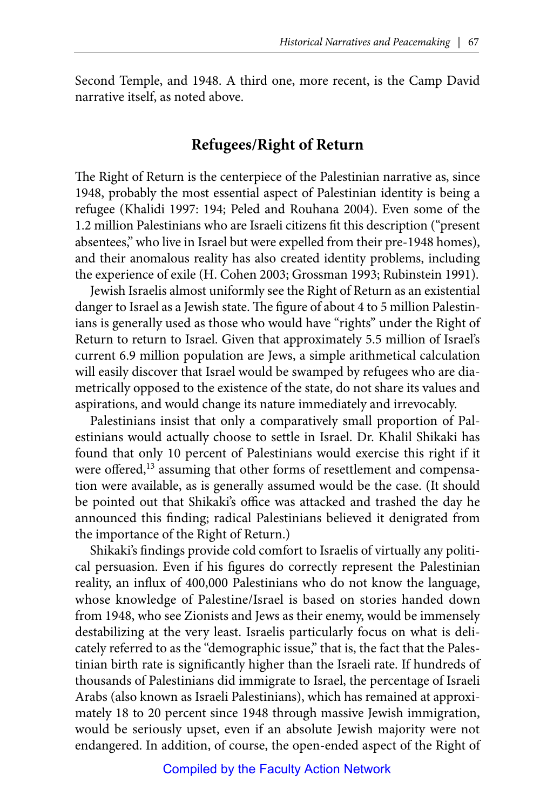Second Temple, and 1948. A third one, more recent, is the Camp David narrative itself, as noted above.

# **Refugees/Right of Return**

The Right of Return is the centerpiece of the Palestinian narrative as, since 1948, probably the most essential aspect of Palestinian identity is being a refugee (Khalidi 1997: 194; Peled and Rouhana 2004). Even some of the 1.2 million Palestinians who are Israeli citizens fit this description ("present absentees," who live in Israel but were expelled from their pre-1948 homes), and their anomalous reality has also created identity problems, including the experience of exile (H. Cohen 2003; Grossman 1993; Rubinstein 1991).

Jewish Israelis almost uniformly see the Right of Return as an existential danger to Israel as a Jewish state. The figure of about 4 to 5 million Palestinians is generally used as those who would have "rights" under the Right of Return to return to Israel. Given that approximately 5.5 million of Israel's current 6.9 million population are Jews, a simple arithmetical calculation will easily discover that Israel would be swamped by refugees who are diametrically opposed to the existence of the state, do not share its values and aspirations, and would change its nature immediately and irrevocably.

Palestinians insist that only a comparatively small proportion of Palestinians would actually choose to settle in Israel. Dr. Khalil Shikaki has found that only 10 percent of Palestinians would exercise this right if it were offered,<sup>13</sup> assuming that other forms of resettlement and compensation were available, as is generally assumed would be the case. (It should be pointed out that Shikaki's office was attacked and trashed the day he announced this finding; radical Palestinians believed it denigrated from the importance of the Right of Return.)

Shikaki's findings provide cold comfort to Israelis of virtually any political persuasion. Even if his figures do correctly represent the Palestinian reality, an influx of 400,000 Palestinians who do not know the language, whose knowledge of Palestine/Israel is based on stories handed down from 1948, who see Zionists and Jews as their enemy, would be immensely destabilizing at the very least. Israelis particularly focus on what is delicately referred to as the "demographic issue," that is, the fact that the Palestinian birth rate is significantly higher than the Israeli rate. If hundreds of thousands of Palestinians did immigrate to Israel, the percentage of Israeli Arabs (also known as Israeli Palestinians), which has remained at approximately 18 to 20 percent since 1948 through massive Jewish immigration, would be seriously upset, even if an absolute Jewish majority were not endangered. In addition, of course, the open-ended aspect of the Right of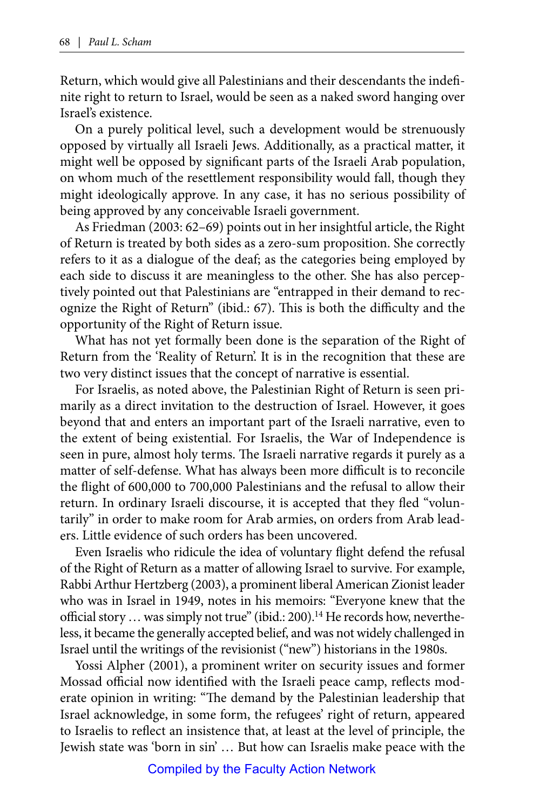Return, which would give all Palestinians and their descendants the indefinite right to return to Israel, would be seen as a naked sword hanging over Israel's existence.

On a purely political level, such a development would be strenuously opposed by virtually all Israeli Jews. Additionally, as a practical matter, it might well be opposed by significant parts of the Israeli Arab population, on whom much of the resettlement responsibility would fall, though they might ideologically approve. In any case, it has no serious possibility of being approved by any conceivable Israeli government.

As Friedman (2003: 62–69) points out in her insightful article, the Right of Return is treated by both sides as a zero-sum proposition. She correctly refers to it as a dialogue of the deaf; as the categories being employed by each side to discuss it are meaningless to the other. She has also perceptively pointed out that Palestinians are "entrapped in their demand to recognize the Right of Return" (ibid.: 67). This is both the difficulty and the opportunity of the Right of Return issue.

What has not yet formally been done is the separation of the Right of Return from the 'Reality of Return'. It is in the recognition that these are two very distinct issues that the concept of narrative is essential.

For Israelis, as noted above, the Palestinian Right of Return is seen primarily as a direct invitation to the destruction of Israel. However, it goes beyond that and enters an important part of the Israeli narrative, even to the extent of being existential. For Israelis, the War of Independence is seen in pure, almost holy terms. The Israeli narrative regards it purely as a matter of self-defense. What has always been more difficult is to reconcile the flight of 600,000 to 700,000 Palestinians and the refusal to allow their return. In ordinary Israeli discourse, it is accepted that they fled "voluntarily" in order to make room for Arab armies, on orders from Arab leaders. Little evidence of such orders has been uncovered.

Even Israelis who ridicule the idea of voluntary flight defend the refusal of the Right of Return as a matter of allowing Israel to survive. For example, Rabbi Arthur Hertzberg (2003), a prominent liberal American Zionist leader who was in Israel in 1949, notes in his memoirs: "Everyone knew that the official story ... was simply not true" (ibid.: 200).<sup>14</sup> He records how, nevertheless, it became the generally accepted belief, and was not widely challenged in Israel until the writings of the revisionist ("new") historians in the 1980s.

Yossi Alpher (2001), a prominent writer on security issues and former Mossad official now identified with the Israeli peace camp, reflects moderate opinion in writing: "The demand by the Palestinian leadership that Israel acknowledge, in some form, the refugees' right of return, appeared to Israelis to reflect an insistence that, at least at the level of principle, the Jewish state was 'born in sin' … But how can Israelis make peace with the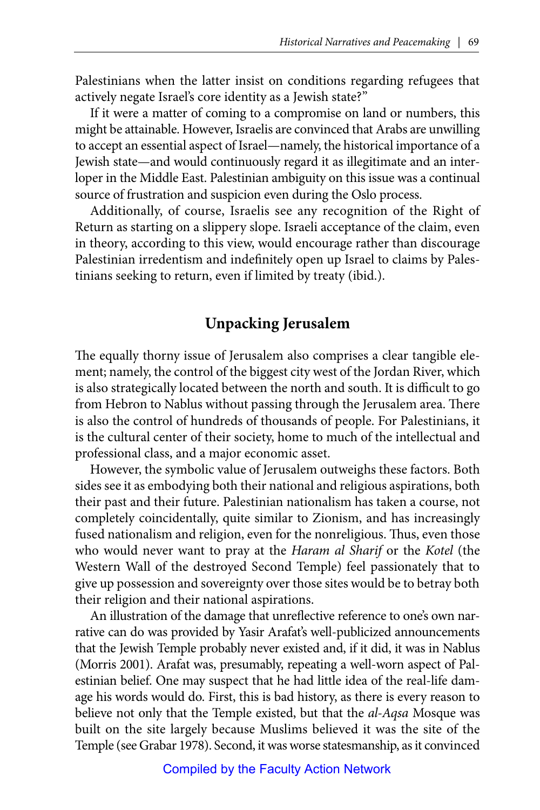Palestinians when the latter insist on conditions regarding refugees that actively negate Israel's core identity as a Jewish state?"

If it were a matter of coming to a compromise on land or numbers, this might be attainable. However, Israelis are convinced that Arabs are unwilling to accept an essential aspect of Israel—namely, the historical importance of a Jewish state—and would continuously regard it as illegitimate and an interloper in the Middle East. Palestinian ambiguity on this issue was a continual source of frustration and suspicion even during the Oslo process.

Additionally, of course, Israelis see any recognition of the Right of Return as starting on a slippery slope. Israeli acceptance of the claim, even in theory, according to this view, would encourage rather than discourage Palestinian irredentism and indefinitely open up Israel to claims by Palestinians seeking to return, even if limited by treaty (ibid.).

# **Unpacking Jerusalem**

The equally thorny issue of Jerusalem also comprises a clear tangible element; namely, the control of the biggest city west of the Jordan River, which is also strategically located between the north and south. It is difficult to go from Hebron to Nablus without passing through the Jerusalem area. There is also the control of hundreds of thousands of people. For Palestinians, it is the cultural center of their society, home to much of the intellectual and professional class, and a major economic asset.

However, the symbolic value of Jerusalem outweighs these factors. Both sides see it as embodying both their national and religious aspirations, both their past and their future. Palestinian nationalism has taken a course, not completely coincidentally, quite similar to Zionism, and has increasingly fused nationalism and religion, even for the nonreligious. Thus, even those who would never want to pray at the *Haram al Sharif* or the *Kotel* (the Western Wall of the destroyed Second Temple) feel passionately that to give up possession and sovereignty over those sites would be to betray both their religion and their national aspirations.

An illustration of the damage that unreflective reference to one's own narrative can do was provided by Yasir Arafat's well-publicized announcements that the Jewish Temple probably never existed and, if it did, it was in Nablus (Morris 2001). Arafat was, presumably, repeating a well-worn aspect of Palestinian belief. One may suspect that he had little idea of the real-life damage his words would do. First, this is bad history, as there is every reason to believe not only that the Temple existed, but that the *al-Aqsa* Mosque was built on the site largely because Muslims believed it was the site of the Temple (see Grabar 1978). Second, it was worse statesmanship, as it convinced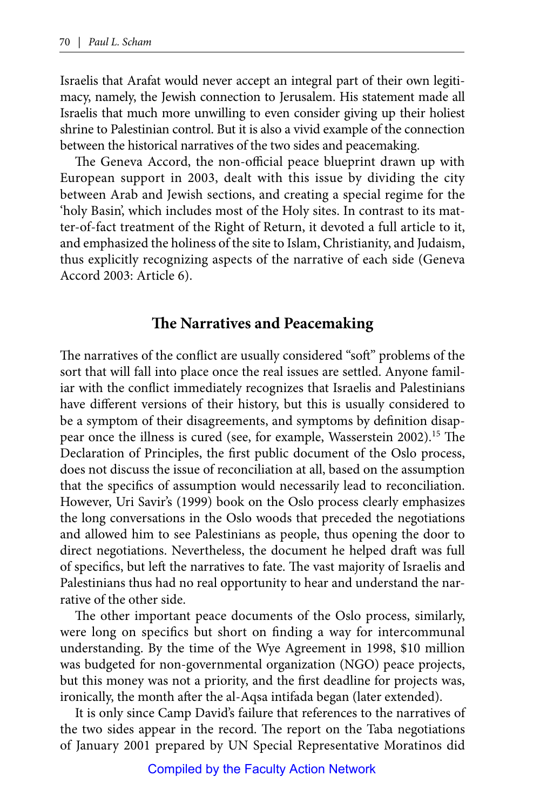Israelis that Arafat would never accept an integral part of their own legitimacy, namely, the Jewish connection to Jerusalem. His statement made all Israelis that much more unwilling to even consider giving up their holiest shrine to Palestinian control. But it is also a vivid example of the connection between the historical narratives of the two sides and peacemaking.

The Geneva Accord, the non-official peace blueprint drawn up with European support in 2003, dealt with this issue by dividing the city between Arab and Jewish sections, and creating a special regime for the 'holy Basin', which includes most of the Holy sites. In contrast to its matter-of-fact treatment of the Right of Return, it devoted a full article to it, and emphasized the holiness of the site to Islam, Christianity, and Judaism, thus explicitly recognizing aspects of the narrative of each side (Geneva Accord 2003: Article 6).

### **The Narratives and Peacemaking**

The narratives of the conflict are usually considered "soft" problems of the sort that will fall into place once the real issues are settled. Anyone familiar with the conflict immediately recognizes that Israelis and Palestinians have different versions of their history, but this is usually considered to be a symptom of their disagreements, and symptoms by definition disappear once the illness is cured (see, for example, Wasserstein 2002).15 The Declaration of Principles, the first public document of the Oslo process, does not discuss the issue of reconciliation at all, based on the assumption that the specifics of assumption would necessarily lead to reconciliation. However, Uri Savir's (1999) book on the Oslo process clearly emphasizes the long conversations in the Oslo woods that preceded the negotiations and allowed him to see Palestinians as people, thus opening the door to direct negotiations. Nevertheless, the document he helped draft was full of specifics, but left the narratives to fate. The vast majority of Israelis and Palestinians thus had no real opportunity to hear and understand the narrative of the other side.

The other important peace documents of the Oslo process, similarly, were long on specifics but short on finding a way for intercommunal understanding. By the time of the Wye Agreement in 1998, \$10 million was budgeted for non-governmental organization (NGO) peace projects, but this money was not a priority, and the first deadline for projects was, ironically, the month after the al-Aqsa intifada began (later extended).

It is only since Camp David's failure that references to the narratives of the two sides appear in the record. The report on the Taba negotiations of January 2001 prepared by UN Special Representative Moratinos did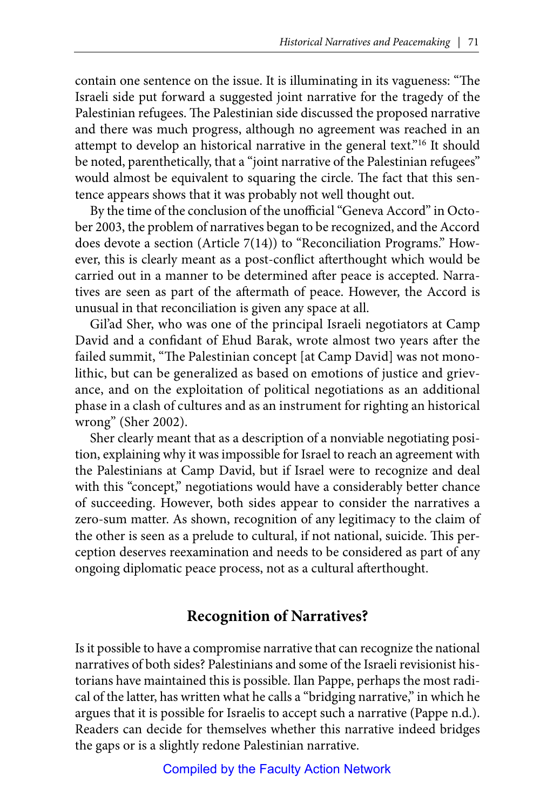contain one sentence on the issue. It is illuminating in its vagueness: "The Israeli side put forward a suggested joint narrative for the tragedy of the Palestinian refugees. The Palestinian side discussed the proposed narrative and there was much progress, although no agreement was reached in an attempt to develop an historical narrative in the general text."16 It should be noted, parenthetically, that a "joint narrative of the Palestinian refugees" would almost be equivalent to squaring the circle. The fact that this sentence appears shows that it was probably not well thought out.

By the time of the conclusion of the unofficial "Geneva Accord" in October 2003, the problem of narratives began to be recognized, and the Accord does devote a section (Article 7(14)) to "Reconciliation Programs." However, this is clearly meant as a post-conflict afterthought which would be carried out in a manner to be determined after peace is accepted. Narratives are seen as part of the aftermath of peace. However, the Accord is unusual in that reconciliation is given any space at all.

Gil'ad Sher, who was one of the principal Israeli negotiators at Camp David and a confidant of Ehud Barak, wrote almost two years after the failed summit, "The Palestinian concept [at Camp David] was not monolithic, but can be generalized as based on emotions of justice and grievance, and on the exploitation of political negotiations as an additional phase in a clash of cultures and as an instrument for righting an historical wrong" (Sher 2002).

Sher clearly meant that as a description of a nonviable negotiating position, explaining why it was impossible for Israel to reach an agreement with the Palestinians at Camp David, but if Israel were to recognize and deal with this "concept," negotiations would have a considerably better chance of succeeding. However, both sides appear to consider the narratives a zero-sum matter. As shown, recognition of any legitimacy to the claim of the other is seen as a prelude to cultural, if not national, suicide. This perception deserves reexamination and needs to be considered as part of any ongoing diplomatic peace process, not as a cultural afterthought.

# **Recognition of Narratives?**

Is it possible to have a compromise narrative that can recognize the national narratives of both sides? Palestinians and some of the Israeli revisionist historians have maintained this is possible. Ilan Pappe, perhaps the most radical of the latter, has written what he calls a "bridging narrative," in which he argues that it is possible for Israelis to accept such a narrative (Pappe n.d.). Readers can decide for themselves whether this narrative indeed bridges the gaps or is a slightly redone Palestinian narrative.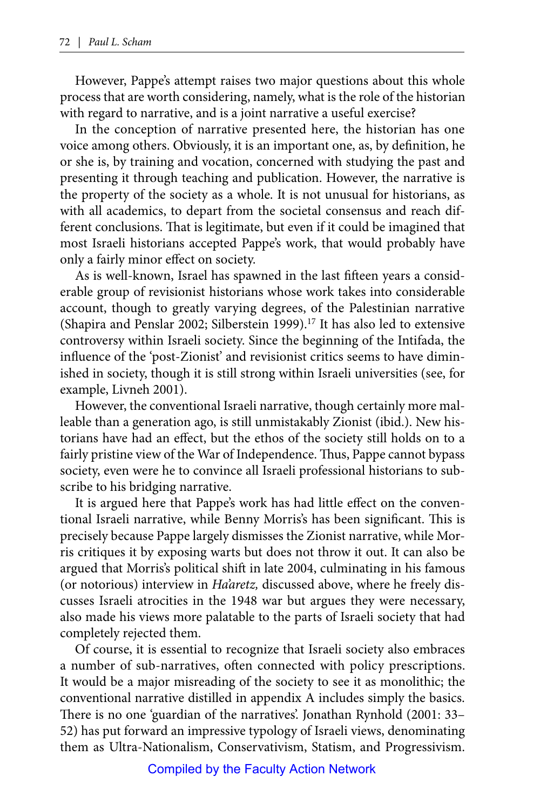However, Pappe's attempt raises two major questions about this whole process that are worth considering, namely, what is the role of the historian with regard to narrative, and is a joint narrative a useful exercise?

In the conception of narrative presented here, the historian has one voice among others. Obviously, it is an important one, as, by definition, he or she is, by training and vocation, concerned with studying the past and presenting it through teaching and publication. However, the narrative is the property of the society as a whole. It is not unusual for historians, as with all academics, to depart from the societal consensus and reach different conclusions. That is legitimate, but even if it could be imagined that most Israeli historians accepted Pappe's work, that would probably have only a fairly minor effect on society.

As is well-known, Israel has spawned in the last fifteen years a considerable group of revisionist historians whose work takes into considerable account, though to greatly varying degrees, of the Palestinian narrative (Shapira and Penslar 2002; Silberstein 1999).17 It has also led to extensive controversy within Israeli society. Since the beginning of the Intifada, the influence of the 'post-Zionist' and revisionist critics seems to have diminished in society, though it is still strong within Israeli universities (see, for example, Livneh 2001).

However, the conventional Israeli narrative, though certainly more malleable than a generation ago, is still unmistakably Zionist (ibid.). New historians have had an effect, but the ethos of the society still holds on to a fairly pristine view of the War of Independence. Thus, Pappe cannot bypass society, even were he to convince all Israeli professional historians to subscribe to his bridging narrative.

It is argued here that Pappe's work has had little effect on the conventional Israeli narrative, while Benny Morris's has been significant. This is precisely because Pappe largely dismisses the Zionist narrative, while Morris critiques it by exposing warts but does not throw it out. It can also be argued that Morris's political shift in late 2004, culminating in his famous (or notorious) interview in *Ha'aretz,* discussed above, where he freely discusses Israeli atrocities in the 1948 war but argues they were necessary, also made his views more palatable to the parts of Israeli society that had completely rejected them.

Of course, it is essential to recognize that Israeli society also embraces a number of sub-narratives, often connected with policy prescriptions. It would be a major misreading of the society to see it as monolithic; the conventional narrative distilled in appendix A includes simply the basics. There is no one 'guardian of the narratives'. Jonathan Rynhold (2001: 33– 52) has put forward an impressive typology of Israeli views, denominating them as Ultra-Nationalism, Conservativism, Statism, and Progressivism.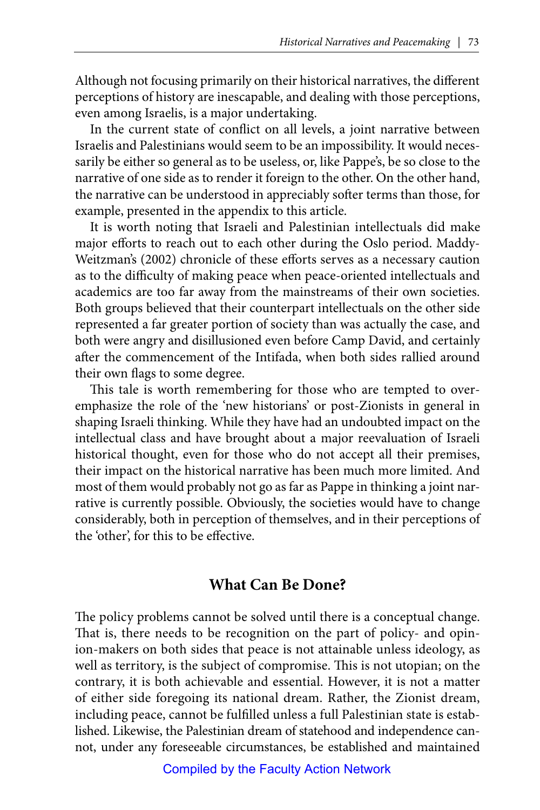Although not focusing primarily on their historical narratives, the different perceptions of history are inescapable, and dealing with those perceptions, even among Israelis, is a major undertaking.

In the current state of conflict on all levels, a joint narrative between Israelis and Palestinians would seem to be an impossibility. It would necessarily be either so general as to be useless, or, like Pappe's, be so close to the narrative of one side as to render it foreign to the other. On the other hand, the narrative can be understood in appreciably softer terms than those, for example, presented in the appendix to this article.

It is worth noting that Israeli and Palestinian intellectuals did make major efforts to reach out to each other during the Oslo period. Maddy-Weitzman's (2002) chronicle of these efforts serves as a necessary caution as to the difficulty of making peace when peace-oriented intellectuals and academics are too far away from the mainstreams of their own societies. Both groups believed that their counterpart intellectuals on the other side represented a far greater portion of society than was actually the case, and both were angry and disillusioned even before Camp David, and certainly after the commencement of the Intifada, when both sides rallied around their own flags to some degree.

This tale is worth remembering for those who are tempted to overemphasize the role of the 'new historians' or post-Zionists in general in shaping Israeli thinking. While they have had an undoubted impact on the intellectual class and have brought about a major reevaluation of Israeli historical thought, even for those who do not accept all their premises, their impact on the historical narrative has been much more limited. And most of them would probably not go as far as Pappe in thinking a joint narrative is currently possible. Obviously, the societies would have to change considerably, both in perception of themselves, and in their perceptions of the 'other', for this to be effective.

# **What Can Be Done?**

The policy problems cannot be solved until there is a conceptual change. That is, there needs to be recognition on the part of policy- and opinion-makers on both sides that peace is not attainable unless ideology, as well as territory, is the subject of compromise. This is not utopian; on the contrary, it is both achievable and essential. However, it is not a matter of either side foregoing its national dream. Rather, the Zionist dream, including peace, cannot be fulfilled unless a full Palestinian state is established. Likewise, the Palestinian dream of statehood and independence cannot, under any foreseeable circumstances, be established and maintained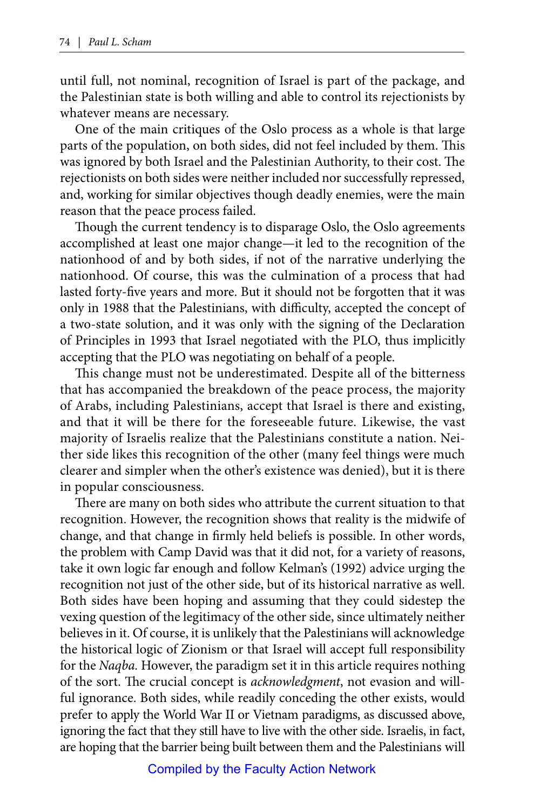until full, not nominal, recognition of Israel is part of the package, and the Palestinian state is both willing and able to control its rejectionists by whatever means are necessary.

One of the main critiques of the Oslo process as a whole is that large parts of the population, on both sides, did not feel included by them. This was ignored by both Israel and the Palestinian Authority, to their cost. The rejectionists on both sides were neither included nor successfully repressed, and, working for similar objectives though deadly enemies, were the main reason that the peace process failed.

Though the current tendency is to disparage Oslo, the Oslo agreements accomplished at least one major change—it led to the recognition of the nationhood of and by both sides, if not of the narrative underlying the nationhood. Of course, this was the culmination of a process that had lasted forty-five years and more. But it should not be forgotten that it was only in 1988 that the Palestinians, with difficulty, accepted the concept of a two-state solution, and it was only with the signing of the Declaration of Principles in 1993 that Israel negotiated with the PLO, thus implicitly accepting that the PLO was negotiating on behalf of a people.

This change must not be underestimated. Despite all of the bitterness that has accompanied the breakdown of the peace process, the majority of Arabs, including Palestinians, accept that Israel is there and existing, and that it will be there for the foreseeable future. Likewise, the vast majority of Israelis realize that the Palestinians constitute a nation. Neither side likes this recognition of the other (many feel things were much clearer and simpler when the other's existence was denied), but it is there in popular consciousness.

There are many on both sides who attribute the current situation to that recognition. However, the recognition shows that reality is the midwife of change, and that change in firmly held beliefs is possible. In other words, the problem with Camp David was that it did not, for a variety of reasons, take it own logic far enough and follow Kelman's (1992) advice urging the recognition not just of the other side, but of its historical narrative as well. Both sides have been hoping and assuming that they could sidestep the vexing question of the legitimacy of the other side, since ultimately neither believes in it. Of course, it is unlikely that the Palestinians will acknowledge the historical logic of Zionism or that Israel will accept full responsibility for the *Naqba.* However, the paradigm set it in this article requires nothing of the sort. The crucial concept is *acknowledgment*, not evasion and willful ignorance. Both sides, while readily conceding the other exists, would prefer to apply the World War II or Vietnam paradigms, as discussed above, ignoring the fact that they still have to live with the other side. Israelis, in fact, are hoping that the barrier being built between them and the Palestinians will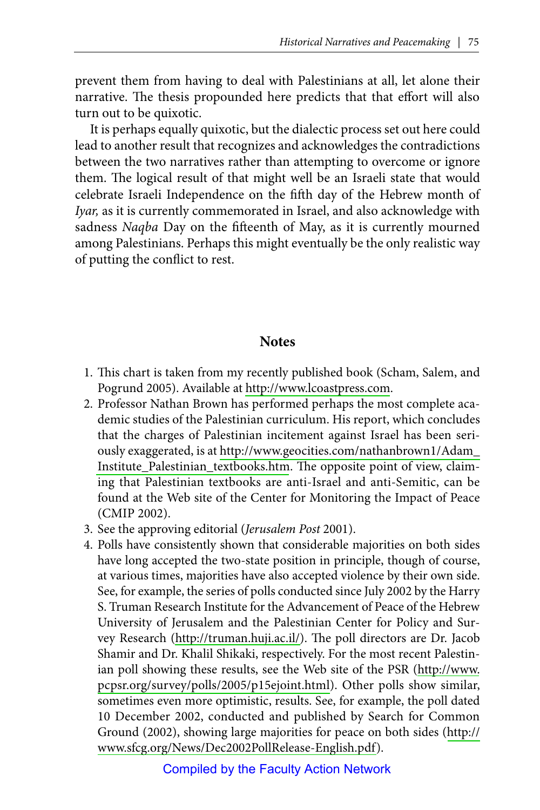prevent them from having to deal with Palestinians at all, let alone their narrative. The thesis propounded here predicts that that effort will also turn out to be quixotic.

It is perhaps equally quixotic, but the dialectic process set out here could lead to another result that recognizes and acknowledges the contradictions between the two narratives rather than attempting to overcome or ignore them. The logical result of that might well be an Israeli state that would celebrate Israeli Independence on the fifth day of the Hebrew month of *Iyar,* as it is currently commemorated in Israel, and also acknowledge with sadness *Naqba* Day on the fifteenth of May, as it is currently mourned among Palestinians. Perhaps this might eventually be the only realistic way of putting the conflict to rest.

#### **Notes**

- 1. This chart is taken from my recently published book (Scham, Salem, and Pogrund 2005). Available at<http://www.lcoastpress.com>.
- 2. Professor Nathan Brown has performed perhaps the most complete academic studies of the Palestinian curriculum. His report, which concludes that the charges of Palestinian incitement against Israel has been seriously exaggerated, is at [http://www.geocities.com/nathanbrown1/Adam\\_](http://www.geocities.com/nathanbrown1/Adam_Institute_Palestinian_textbooks.htm) [Institute\\_Palestinian\\_textbooks.htm](http://www.geocities.com/nathanbrown1/Adam_Institute_Palestinian_textbooks.htm). The opposite point of view, claiming that Palestinian textbooks are anti-Israel and anti-Semitic, can be found at the Web site of the Center for Monitoring the Impact of Peace (CMIP 2002).
- 3. See the approving editorial (*Jerusalem Post* 2001).
- 4. Polls have consistently shown that considerable majorities on both sides have long accepted the two-state position in principle, though of course, at various times, majorities have also accepted violence by their own side. See, for example, the series of polls conducted since July 2002 by the Harry S. Truman Research Institute for the Advancement of Peace of the Hebrew University of Jerusalem and the Palestinian Center for Policy and Survey Research [\(http://truman.huji.ac.il/\)](http://truman.huji.ac.il/). The poll directors are Dr. Jacob Shamir and Dr. Khalil Shikaki, respectively. For the most recent Palestinian poll showing these results, see the Web site of the PSR [\(http://www.](http://www.pcpsr.org/survey/polls/2005/p15ejoint.html) [pcpsr.org/survey/polls/2005/p15ejoint.html\)](http://www.pcpsr.org/survey/polls/2005/p15ejoint.html). Other polls show similar, sometimes even more optimistic, results. See, for example, the poll dated 10 December 2002, conducted and published by Search for Common Ground (2002), showing large majorities for peace on both sides ([http://](http://www.sfcg.org/News/Dec2002PollRelease-English.pdf) [www.sfcg.org/News/Dec2002PollRelease-English.pdf](http://www.sfcg.org/News/Dec2002PollRelease-English.pdf)).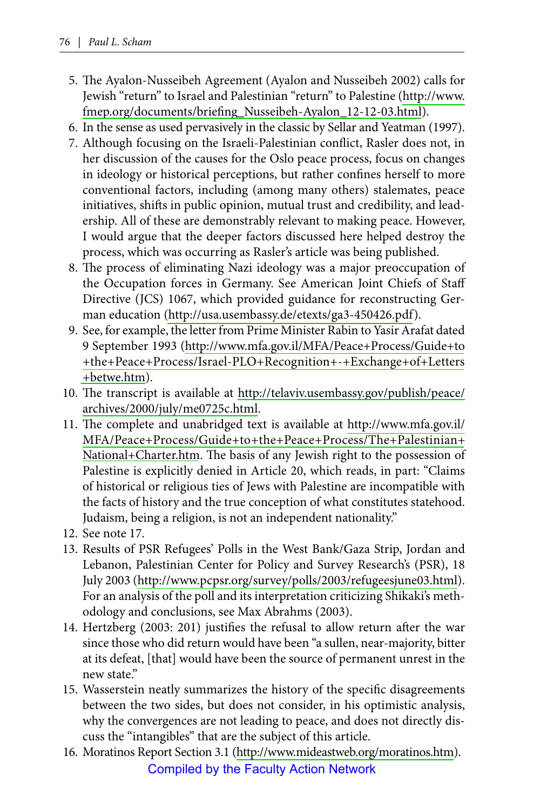- 5. The Ayalon-Nusseibeh Agreement (Ayalon and Nusseibeh 2002) calls for Jewish "return" to Israel and Palestinian "return" to Palestine [\(http://www.](http://www.fmep.org/documents/briefing_Nusseibeh-Ayalon_12-12-03.html) [fmep.org/documents/briefing\\_Nusseibeh-Ayalon\\_12-12-03.html](http://www.fmep.org/documents/briefing_Nusseibeh-Ayalon_12-12-03.html)).
- 6. In the sense as used pervasively in the classic by Sellar and Yeatman (1997).
- 7. Although focusing on the Israeli-Palestinian conflict, Rasler does not, in her discussion of the causes for the Oslo peace process, focus on changes in ideology or historical perceptions, but rather confines herself to more conventional factors, including (among many others) stalemates, peace initiatives, shifts in public opinion, mutual trust and credibility, and leadership. All of these are demonstrably relevant to making peace. However, I would argue that the deeper factors discussed here helped destroy the process, which was occurring as Rasler's article was being published.
- 8. The process of eliminating Nazi ideology was a major preoccupation of the Occupation forces in Germany. See American Joint Chiefs of Staff Directive (JCS) 1067, which provided guidance for reconstructing German education [\(http://usa.usembassy.de/etexts/ga3-450426.pdf](http://usa.usembassy.de/etexts/ga3-450426.pdf)).
- 9. See, for example, the letter from Prime Minister Rabin to Yasir Arafat dated 9 September 1993 [\(http://www.mfa.gov.il/MFA/Peace+Process/Guide+to](http://www.mfa.gov.il/MFA/Peace+Process/Guide+to+the+Peace+Process/Israel-PLO+Recognition+-+Exchange+of+Letters+betwe.htm) [+the+Peace+Process/Israel-PLO+Recognition+-+Exchange+of+Letters](http://www.mfa.gov.il/MFA/Peace+Process/Guide+to+the+Peace+Process/Israel-PLO+Recognition+-+Exchange+of+Letters+betwe.htm) [+betwe.htm](http://www.mfa.gov.il/MFA/Peace+Process/Guide+to+the+Peace+Process/Israel-PLO+Recognition+-+Exchange+of+Letters+betwe.htm)).
- 10. The transcript is available at [http://telaviv.usembassy.gov/publish/peace/](http://telaviv.usembassy.gov/publish/peace/archives/2000/july/me0725c.html) [archives/2000/july/me0725c.html](http://telaviv.usembassy.gov/publish/peace/archives/2000/july/me0725c.html).
- 11. The complete and unabridged text is available at [http://www.mfa.gov.il/](http://www.mfa.gov.il/MFA/Peace+Process/Guide+to+the+Peace+Process/The+Palestinian+National+Charter.htm) [MFA/Peace+Process/Guide+to+the+Peace+Process/The+Palestinian+](http://www.mfa.gov.il/MFA/Peace+Process/Guide+to+the+Peace+Process/The+Palestinian+National+Charter.htm) [National+Charter.htm](http://www.mfa.gov.il/MFA/Peace+Process/Guide+to+the+Peace+Process/The+Palestinian+National+Charter.htm). The basis of any Jewish right to the possession of Palestine is explicitly denied in Article 20, which reads, in part: "Claims of historical or religious ties of Jews with Palestine are incompatible with the facts of history and the true conception of what constitutes statehood. Judaism, being a religion, is not an independent nationality."
- 12. See note 17.
- 13. Results of PSR Refugees' Polls in the West Bank/Gaza Strip, Jordan and Lebanon, Palestinian Center for Policy and Survey Research's (PSR), 18 July 2003 ([http://www.pcpsr.org/survey/polls/2003/refugeesjune03.html\)](http://www.pcpsr.org/survey/polls/2003/refugeesjune03.html). For an analysis of the poll and its interpretation criticizing Shikaki's methodology and conclusions, see Max Abrahms (2003).
- 14. Hertzberg (2003: 201) justifies the refusal to allow return after the war since those who did return would have been "a sullen, near-majority, bitter at its defeat, [that] would have been the source of permanent unrest in the new state."
- 15. Wasserstein neatly summarizes the history of the specific disagreements between the two sides, but does not consider, in his optimistic analysis, why the convergences are not leading to peace, and does not directly discuss the "intangibles" that are the subject of this article.
- 16. Moratinos Report Section 3.1 [\(http://www.mideastweb.org/moratinos.htm](http://www.mideastweb.org/moratinos.htm)).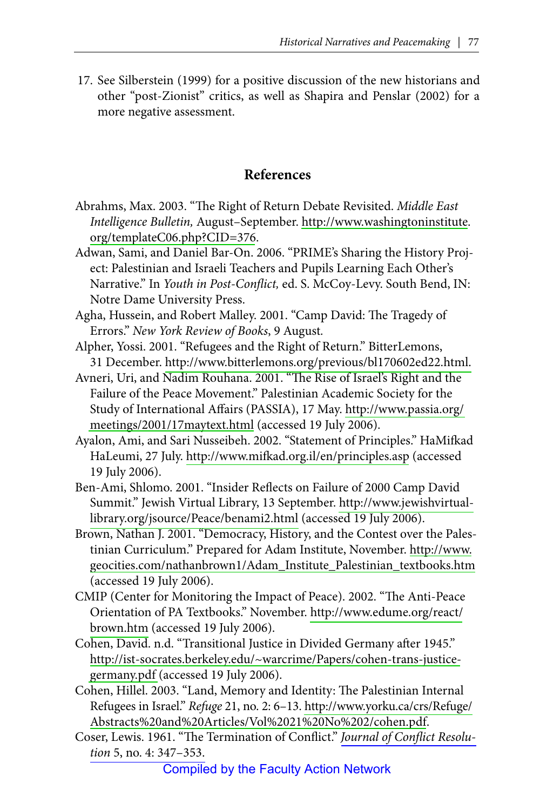17. See Silberstein (1999) for a positive discussion of the new historians and other "post-Zionist" critics, as well as Shapira and Penslar (2002) for a more negative assessment.

# **References**

- Abrahms, Max. 2003. "The Right of Return Debate Revisited. *Middle East Intelligence Bulletin,* August–September. [http://www.washingtoninstitute](http://www.washingtoninstitute.org/templateC06.php?CID=376). [org/templateC06.php?CID=376](http://www.washingtoninstitute.org/templateC06.php?CID=376).
- Adwan, Sami, and Daniel Bar-On. 2006. "PRIME's Sharing the History Project: Palestinian and Israeli Teachers and Pupils Learning Each Other's Narrative." In *Youth in Post-Conflict,* ed. S. McCoy-Levy. South Bend, IN: Notre Dame University Press.
- Agha, Hussein, and Robert Malley. 2001. "Camp David: The Tragedy of Errors." *New York Review of Books*, 9 August*.*
- Alpher, Yossi. 2001. "Refugees and the Right of Return." BitterLemons, 31 December. [http://www.bitterlemons.org/previous/bl170602ed22.html.](http://www.bitterlemons.org/previous/bl170602ed22.html)
- Avneri, Uri, and Nadim Rouhana. 2001. "The Rise of Israel's Right and the Failure of the Peace Movement." Palestinian Academic Society for the Study of International Affairs (PASSIA), 17 May. [http://www.passia.org/](http://www.passia.org/meetings/2001/17maytext.html) [meetings/2001/17maytext.html](http://www.passia.org/meetings/2001/17maytext.html) (accessed 19 July 2006).
- Ayalon, Ami, and Sari Nusseibeh. 2002. "Statement of Principles." HaMifkad HaLeumi, 27 July. <http://www.mifkad.org.il/en/principles.asp> (accessed 19 July 2006).
- Ben-Ami, Shlomo. 2001. "Insider Reflects on Failure of 2000 Camp David Summit." Jewish Virtual Library, 13 September. [http://www.jewishvirtual](http://www.jewishvirtual-library.org/jsource/Peace/benami2.html)[library.org/jsource/Peace/benami2.html](http://www.jewishvirtual-library.org/jsource/Peace/benami2.html) (accessed 19 July 2006).
- Brown, Nathan J. 2001. "Democracy, History, and the Contest over the Palestinian Curriculum." Prepared for Adam Institute, November. [http://www.](http://www.geocities.com/nathanbrown1/Adam_Institute_Palestinian_textbooks.htm) [geocities.com/nathanbrown1/Adam\\_Institute\\_Palestinian\\_textbooks.htm](http://www.geocities.com/nathanbrown1/Adam_Institute_Palestinian_textbooks.htm) (accessed 19 July 2006).
- CMIP (Center for Monitoring the Impact of Peace). 2002. "The Anti-Peace Orientation of PA Textbooks." November. [http://www.edume.org/react/](http://www.edume.org/react/brown.htm) [brown.htm](http://www.edume.org/react/brown.htm) (accessed 19 July 2006).
- Cohen, David. n.d. "Transitional Justice in Divided Germany after 1945." [http://ist-socrates.berkeley.edu/~warcrime/Papers/cohen-trans-justice](http://ist-socrates.berkeley.edu/~warcrime/Papers/cohen-trans-justice-germany.pdf)[germany.pdf](http://ist-socrates.berkeley.edu/~warcrime/Papers/cohen-trans-justice-germany.pdf) (accessed 19 July 2006).
- Cohen, Hillel. 2003. "Land, Memory and Identity: The Palestinian Internal Refugees in Israel." *Refuge* 21, no. 2: 6–13. [http://www.yorku.ca/crs/Refuge/](http://www.yorku.ca/crs/Refuge/Abstracts%20and%20Articles/Vol%2021%20No%202/cohen.pdf)  [Abstracts%20and%20Articles/Vol%2021%20No%202/cohen.pdf](http://www.yorku.ca/crs/Refuge/Abstracts%20and%20Articles/Vol%2021%20No%202/cohen.pdf).
- Coser, Lewis. 1961. "The Termination of Conflict." *[Journal of Conflict Resolu](http://www.ingentaconnect.com/content/external-references?article=0022-0027()5:4L.347[aid=7763514])tion* [5, no. 4: 347–353.](http://www.ingentaconnect.com/content/external-references?article=0022-0027()5:4L.347[aid=7763514])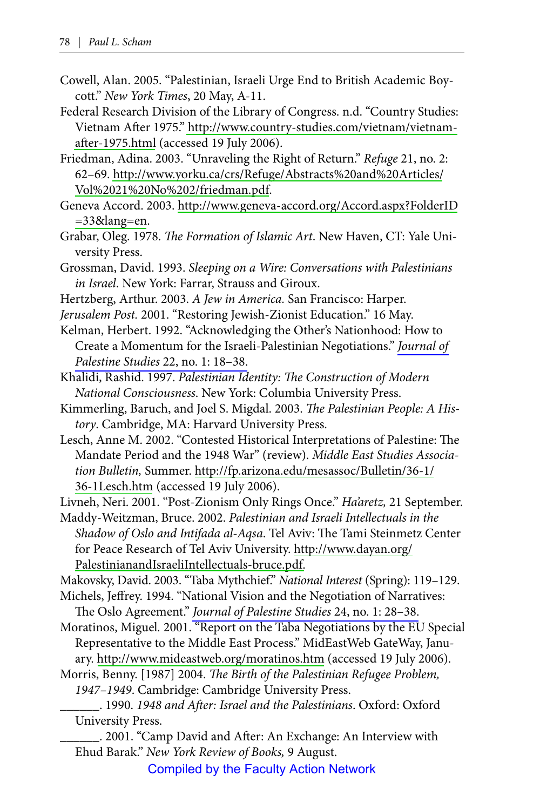- Cowell, Alan. 2005. "Palestinian, Israeli Urge End to British Academic Boycott." *New York Times*, 20 May, A-11.
- Federal Research Division of the Library of Congress. n.d. "Country Studies: Vietnam After 1975." [http://www.country-studies.com/vietnam/vietnam](http://www.country-studies.com/vietnam/vietnam-after-1975.html)[after-1975.html](http://www.country-studies.com/vietnam/vietnam-after-1975.html) (accessed 19 July 2006).
- Friedman, Adina. 2003. "Unraveling the Right of Return." *Refuge* 21, no. 2: 62–69. [http://www.yorku.ca/crs/Refuge/Abstracts%20and%20Articles/](http://www.yorku.ca/crs/Refuge/Abstracts%20and%20Articles/Vol%2021%20No%202/friedman.pdf) [Vol%2021%20No%202/friedman.pdf](http://www.yorku.ca/crs/Refuge/Abstracts%20and%20Articles/Vol%2021%20No%202/friedman.pdf).
- Geneva Accord. 2003. [http://www.geneva-accord.org/Accord.aspx?FolderID](http://www.geneva-accord.org/Accord.aspx?FolderID=33&lang=en) [=33&lang=en](http://www.geneva-accord.org/Accord.aspx?FolderID=33&lang=en).
- Grabar, Oleg. 1978. *The Formation of Islamic Art*. New Haven, CT: Yale University Press.
- Grossman, David. 1993. *Sleeping on a Wire: Conversations with Palestinians in Israel*. New York: Farrar, Strauss and Giroux.
- Hertzberg, Arthur. 2003. *A Jew in America.* San Francisco: Harper.
- *Jerusalem Post.* 2001. "Restoring Jewish-Zionist Education." 16 May.
- Kelman, Herbert. 1992. "Acknowledging the Other's Nationhood: How to Create a Momentum for the Israeli-Palestinian Negotiations." *[Journal of](http://www.ingentaconnect.com/content/external-references?article=0377-919X()22:1L.18[aid=7763517])  [Palestine Studies](http://www.ingentaconnect.com/content/external-references?article=0377-919X()22:1L.18[aid=7763517])* 22, no. 1: 18–38.
- Khalidi, Rashid. 1997. *Palestinian Identity: The Construction of Modern National Consciousness*. New York: Columbia University Press.
- Kimmerling, Baruch, and Joel S. Migdal. 2003. *The Palestinian People: A History*. Cambridge, MA: Harvard University Press.
- Lesch, Anne M. 2002. "Contested Historical Interpretations of Palestine: The Mandate Period and the 1948 War" (review). *Middle East Studies Association Bulletin,* Summer. [http://fp.arizona.edu/mesassoc/Bulletin/36-1/](http://fp.arizona.edu/mesassoc/Bulletin/36-1/36-1Lesch.htm) [36-1Lesch.htm](http://fp.arizona.edu/mesassoc/Bulletin/36-1/36-1Lesch.htm) (accessed 19 July 2006).
- Livneh, Neri. 2001. "Post-Zionism Only Rings Once." *Ha'aretz,* 21 September.
- Maddy-Weitzman, Bruce. 2002. *Palestinian and Israeli Intellectuals in the Shadow of Oslo and Intifada al-Aqsa*. Tel Aviv: The Tami Steinmetz Center for Peace Research of Tel Aviv University. [http://www.dayan.org/](http://www.dayan.org/PalestinianandIsraeliIntellectuals-bruce.pdf)  [PalestinianandIsraeliIntellectuals-bruce.pdf.](http://www.dayan.org/PalestinianandIsraeliIntellectuals-bruce.pdf)

Makovsky, David. 2003. "Taba Mythchief." *National Interest* (Spring): 119–129.

- Michels, Jeffrey. 1994. "National Vision and the Negotiation of Narratives: The Oslo Agreement." *[Journal of Palestine Studies](http://www.ingentaconnect.com/content/external-references?article=0377-919X()24:1L.28[aid=7763516])* 24, no. 1: 28–38.
- Moratinos, Miguel*.* 2001. "Report on the Taba Negotiations by the EU Special Representative to the Middle East Process." MidEastWeb GateWay, January. <http://www.mideastweb.org/moratinos.htm> (accessed 19 July 2006).
- Morris, Benny. [1987] 2004. *The Birth of the Palestinian Refugee Problem, 1947–1949*. Cambridge: Cambridge University Press.
	- \_\_\_\_\_\_. 1990. *1948 and After: Israel and the Palestinians*. Oxford: Oxford University Press.
	- \_\_\_\_\_\_. 2001. "Camp David and After: An Exchange: An Interview with Ehud Barak." *New York Review of Books,* 9 August.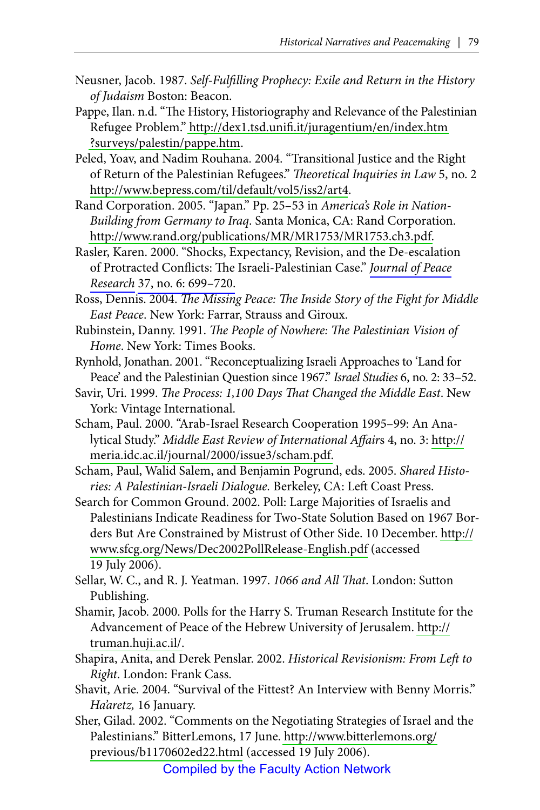- Neusner, Jacob*.* 1987. *Self-Fulfilling Prophecy: Exile and Return in the History of Judaism* Boston: Beacon.
- Pappe, Ilan. n.d. "The History, Historiography and Relevance of the Palestinian Refugee Problem." [http://dex1.tsd.unifi.it/juragentium/en/index.htm](http://dex1.tsd.uni�.it/juragentium/en/index.htm?surveys/palestin/pappe.htm)  [?surveys/palestin/pappe.htm](http://dex1.tsd.uni�.it/juragentium/en/index.htm?surveys/palestin/pappe.htm).
- Peled, Yoav, and Nadim Rouhana. 2004. "Transitional Justice and the Right of Return of the Palestinian Refugees." *Theoretical Inquiries in Law* 5, no. 2 <http://www.bepress.com/til/default/vol5/iss2/art4>.
- Rand Corporation. 2005. "Japan." Pp. 25–53 in *America's Role in Nation-Building from Germany to Iraq*. Santa Monica, CA: Rand Corporation. [http://www.rand.org/publications/MR/MR1753/MR1753.ch3.pdf.](http://www.rand.org/publications/MR/MR1753/MR1753.ch3.pdf)
- Rasler, Karen. 2000. "Shocks, Expectancy, Revision, and the De-escalation of Protracted Conflicts: The Israeli-Palestinian Case." *[Journal of Peace](http://www.ingentaconnect.com/content/external-references?article=0022-3433()37:6L.699[aid=7763520]) [Research](http://www.ingentaconnect.com/content/external-references?article=0022-3433()37:6L.699[aid=7763520])* [37, no. 6: 699–720.](http://www.ingentaconnect.com/content/external-references?article=0022-3433()37:6L.699[aid=7763520])
- Ross, Dennis. 2004. *The Missing Peace: The Inside Story of the Fight for Middle East Peace*. New York: Farrar, Strauss and Giroux.
- Rubinstein, Danny. 1991. *The People of Nowhere: The Palestinian Vision of Home*. New York: Times Books.
- Rynhold, Jonathan. 2001. "Reconceptualizing Israeli Approaches to 'Land for Peace' and the Palestinian Question since 1967." *Israel Studies* 6, no. 2: 33–52.
- Savir, Uri. 1999. *The Process: 1,100 Days That Changed the Middle East*. New York: Vintage International.
- Scham, Paul. 2000. "Arab-Israel Research Cooperation 1995–99: An Analytical Study." *Middle East Review of International Affair*s 4, no. 3: [http://](http://meria.idc.ac.il/journal/2000/issue3/scham.pdf) [meria.idc.ac.il/journal/2000/issue3/scham.pdf.](http://meria.idc.ac.il/journal/2000/issue3/scham.pdf)
- Scham, Paul, Walid Salem, and Benjamin Pogrund, eds. 2005. *Shared Histories: A Palestinian-Israeli Dialogue.* Berkeley, CA: Left Coast Press.
- Search for Common Ground. 2002. Poll: Large Majorities of Israelis and Palestinians Indicate Readiness for Two-State Solution Based on 1967 Borders But Are Constrained by Mistrust of Other Side. 10 December. [http://](http://www.sfcg.org/News/Dec2002PollRelease-English.pdf) [www.sfcg.org/News/Dec2002PollRelease-English.pdf](http://www.sfcg.org/News/Dec2002PollRelease-English.pdf) (accessed 19 July 2006).
- Sellar, W. C., and R. J. Yeatman. 1997. *1066 and All That*. London: Sutton Publishing.
- Shamir, Jacob. 2000. Polls for the Harry S. Truman Research Institute for the Advancement of Peace of the Hebrew University of Jerusalem. [http://](http://truman.huji.ac.il/) [truman.huji.ac.il/.](http://truman.huji.ac.il/)
- Shapira, Anita, and Derek Penslar. 2002. *Historical Revisionism: From Left to Right*. London: Frank Cass.
- Shavit, Arie. 2004. "Survival of the Fittest? An Interview with Benny Morris." *Ha'aretz,* 16 January.
- Sher, Gilad. 2002. "Comments on the Negotiating Strategies of Israel and the Palestinians." BitterLemons, 17 June. [http://www.bitterlemons.org/](http://www.bitterlemons.org/previous/b1170602ed22.html)  [previous/b1170602ed22.html](http://www.bitterlemons.org/previous/b1170602ed22.html) (accessed 19 July 2006).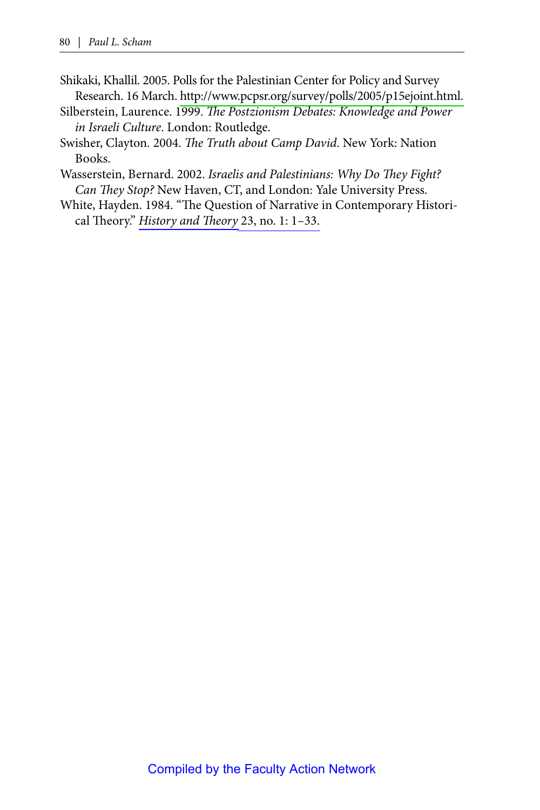- Shikaki, Khallil. 2005. Polls for the Palestinian Center for Policy and Survey Research. 16 March. [http://www.pcpsr.org/survey/polls/2005/p15ejoint.html.](http://www.pcpsr.org/survey/polls/2005/p15ejoint.html)
- Silberstein, Laurence. 1999. *The Postzionism Debates: Knowledge and Power in Israeli Culture*. London: Routledge.
- Swisher, Clayton*.* 2004. *The Truth about Camp David*. New York: Nation Books.
- Wasserstein, Bernard. 2002. *Israelis and Palestinians: Why Do They Fight? Can They Stop?* New Haven, CT, and London: Yale University Press.
- White, Hayden. 1984. "The Question of Narrative in Contemporary Historical Theory." *[History and Theory](http://www.ingentaconnect.com/content/external-references?article=0018-2656()23:1L.1[aid=356383])* [23, no. 1: 1–33.](http://www.ingentaconnect.com/content/external-references?article=0018-2656()23:1L.1[aid=356383])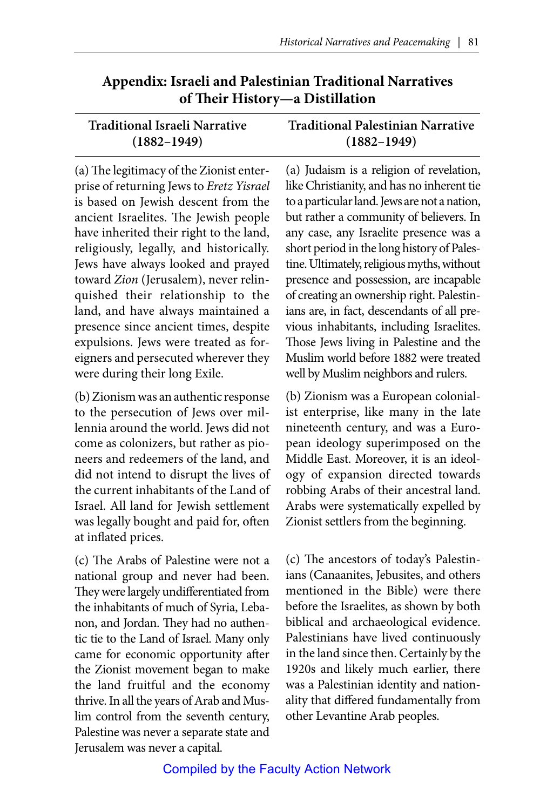| $\alpha$ men mode $\gamma$ a Distinguon |                                          |  |
|-----------------------------------------|------------------------------------------|--|
| <b>Traditional Israeli Narrative</b>    | <b>Traditional Palestinian Narrative</b> |  |
| $(1882 - 1949)$                         | $(1882 - 1949)$                          |  |

**Appendix: Israeli and Palestinian Traditional Narratives of Their History—a Distillation**

(a) The legitimacy of the Zionist enterprise of returning Jews to *Eretz Yisrael* is based on Jewish descent from the ancient Israelites. The Jewish people have inherited their right to the land, religiously, legally, and historically. Jews have always looked and prayed toward *Zion* (Jerusalem), never relinquished their relationship to the land, and have always maintained a presence since ancient times, despite expulsions. Jews were treated as foreigners and persecuted wherever they were during their long Exile.

(b) Zionism was an authentic response to the persecution of Jews over millennia around the world. Jews did not come as colonizers, but rather as pioneers and redeemers of the land, and did not intend to disrupt the lives of the current inhabitants of the Land of Israel. All land for Jewish settlement was legally bought and paid for, often at inflated prices.

(c) The Arabs of Palestine were not a national group and never had been. They were largely undifferentiated from the inhabitants of much of Syria, Lebanon, and Jordan. They had no authentic tie to the Land of Israel. Many only came for economic opportunity after the Zionist movement began to make the land fruitful and the economy thrive. In all the years of Arab and Muslim control from the seventh century, Palestine was never a separate state and Jerusalem was never a capital.

(a) Judaism is a religion of revelation, like Christianity, and has no inherent tie to a particular land. Jews are not a nation, but rather a community of believers. In any case, any Israelite presence was a short period in the long history of Palestine. Ultimately, religious myths, without presence and possession, are incapable of creating an ownership right. Palestinians are, in fact, descendants of all previous inhabitants, including Israelites. Those Jews living in Palestine and the Muslim world before 1882 were treated well by Muslim neighbors and rulers.

(b) Zionism was a European colonialist enterprise, like many in the late nineteenth century, and was a European ideology superimposed on the Middle East. Moreover, it is an ideology of expansion directed towards robbing Arabs of their ancestral land. Arabs were systematically expelled by Zionist settlers from the beginning.

(c) The ancestors of today's Palestinians (Canaanites, Jebusites, and others mentioned in the Bible) were there before the Israelites, as shown by both biblical and archaeological evidence. Palestinians have lived continuously in the land since then. Certainly by the 1920s and likely much earlier, there was a Palestinian identity and nationality that differed fundamentally from other Levantine Arab peoples.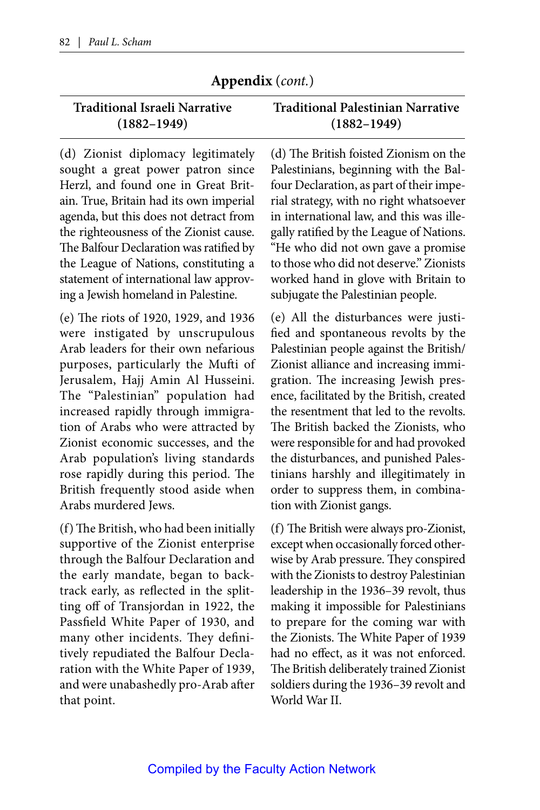| <b>Traditional Israeli Narrative</b> | <b>Traditional Palestinian Narrative</b> |
|--------------------------------------|------------------------------------------|
| $(1882 - 1949)$                      | $(1882 - 1949)$                          |

(d) Zionist diplomacy legitimately sought a great power patron since Herzl, and found one in Great Britain. True, Britain had its own imperial agenda, but this does not detract from the righteousness of the Zionist cause. The Balfour Declaration was ratified by the League of Nations, constituting a statement of international law approving a Jewish homeland in Palestine.

(e) The riots of 1920, 1929, and 1936 were instigated by unscrupulous Arab leaders for their own nefarious purposes, particularly the Mufti of Jerusalem, Hajj Amin Al Husseini. The "Palestinian" population had increased rapidly through immigration of Arabs who were attracted by Zionist economic successes, and the Arab population's living standards rose rapidly during this period. The British frequently stood aside when Arabs murdered Jews.

(f) The British, who had been initially supportive of the Zionist enterprise through the Balfour Declaration and the early mandate, began to backtrack early, as reflected in the splitting off of Transjordan in 1922, the Passfield White Paper of 1930, and many other incidents. They definitively repudiated the Balfour Declaration with the White Paper of 1939, and were unabashedly pro-Arab after that point.

(d) The British foisted Zionism on the Palestinians, beginning with the Balfour Declaration, as part of their imperial strategy, with no right whatsoever in international law, and this was illegally ratified by the League of Nations. "He who did not own gave a promise to those who did not deserve." Zionists worked hand in glove with Britain to subjugate the Palestinian people.

(e) All the disturbances were justified and spontaneous revolts by the Palestinian people against the British/ Zionist alliance and increasing immigration. The increasing Jewish presence, facilitated by the British, created the resentment that led to the revolts. The British backed the Zionists, who were responsible for and had provoked the disturbances, and punished Palestinians harshly and illegitimately in order to suppress them, in combination with Zionist gangs.

(f) The British were always pro-Zionist, except when occasionally forced otherwise by Arab pressure. They conspired with the Zionists to destroy Palestinian leadership in the 1936–39 revolt, thus making it impossible for Palestinians to prepare for the coming war with the Zionists. The White Paper of 1939 had no effect, as it was not enforced. The British deliberately trained Zionist soldiers during the 1936–39 revolt and World War II.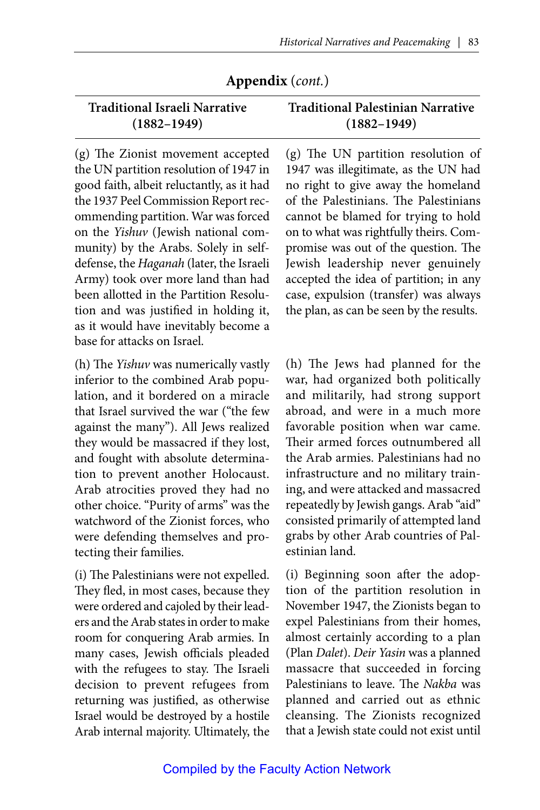(g) The Zionist movement accepted the UN partition resolution of 1947 in good faith, albeit reluctantly, as it had the 1937 Peel Commission Report recommending partition. War was forced on the *Yishuv* (Jewish national community) by the Arabs. Solely in selfdefense, the *Haganah* (later, the Israeli Army) took over more land than had been allotted in the Partition Resolution and was justified in holding it, as it would have inevitably become a base for attacks on Israel.

(h) The *Yishuv* was numerically vastly inferior to the combined Arab population, and it bordered on a miracle that Israel survived the war ("the few against the many"). All Jews realized they would be massacred if they lost, and fought with absolute determination to prevent another Holocaust. Arab atrocities proved they had no other choice. "Purity of arms" was the watchword of the Zionist forces, who were defending themselves and protecting their families.

(i) The Palestinians were not expelled. They fled, in most cases, because they were ordered and cajoled by their leaders and the Arab states in order to make room for conquering Arab armies. In many cases, Jewish officials pleaded with the refugees to stay. The Israeli decision to prevent refugees from returning was justified, as otherwise Israel would be destroyed by a hostile Arab internal majority. Ultimately, the

#### **Traditional Israeli Narrative Traditional Palestinian Narrative (1882–1949) (1882–1949)**

(g) The UN partition resolution of 1947 was illegitimate, as the UN had no right to give away the homeland of the Palestinians. The Palestinians cannot be blamed for trying to hold on to what was rightfully theirs. Compromise was out of the question. The Jewish leadership never genuinely accepted the idea of partition; in any case, expulsion (transfer) was always the plan, as can be seen by the results.

(h) The Jews had planned for the war, had organized both politically and militarily, had strong support abroad, and were in a much more favorable position when war came. Their armed forces outnumbered all the Arab armies. Palestinians had no infrastructure and no military training, and were attacked and massacred repeatedly by Jewish gangs. Arab "aid" consisted primarily of attempted land grabs by other Arab countries of Palestinian land.

(i) Beginning soon after the adoption of the partition resolution in November 1947, the Zionists began to expel Palestinians from their homes, almost certainly according to a plan (Plan *Dalet*). *Deir Yasin* was a planned massacre that succeeded in forcing Palestinians to leave. The *Nakba* was planned and carried out as ethnic cleansing. The Zionists recognized that a Jewish state could not exist until